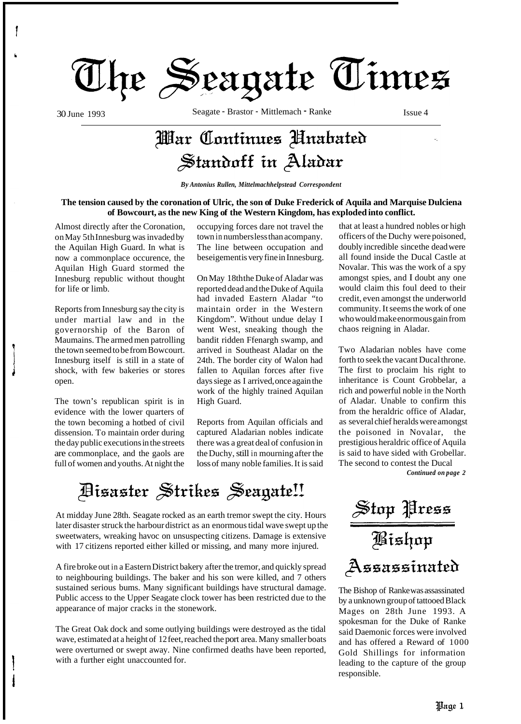

30 June 1993 Seagate - Brastor - Mittlemach - Ranke Issue 4

## War Continues Hnabated Standoff in Aladar

*By Antonius Rullen, Mittelmachhelpstead Correspondent* 

#### **The tension caused by the coronation of Ulric, the son of Duke Frederick of Aquila and Marquise Dulciena of Bowcourt, as the new King of the Western Kingdom, has exploded into conflict.**

Almost directly after the Coronation, on May 5th Innesburg was invaded by the Aquilan High Guard. In what is now a commonplace occurence, the Aquilan High Guard stormed the Innesburg republic without thought for life or limb.

Reports from Innesburg say the city is under martial law and in the governorship of the Baron of Maumains. The armed men patrolling the town seemed to be from Bowcourt. Innesburg itself is still in a state of shock, with few bakeries or stores open.

The town's republican spirit is in evidence with the lower quarters of the town becoming a hotbed of civil dissension. To maintain order during the day public executions in the streets are commonplace, and the gaols are full of women and youths. At night the

occupying forces dare not travel the town in numbers less than acompany. The line between occupation and beseigement is very fine in Innesburg.

On May 18th the Duke of Aladar was reported dead and the Duke of Aquila had invaded Eastern Aladar "to maintain order in the Western Kingdom". Without undue delay I went West, sneaking though the bandit ridden Ffenargh swamp, and arrived in Southeast Aladar on the 24th. The border city of Walon had fallen to Aquilan forces after five days siege as I arrived, once again the work of the highly trained Aquilan High Guard.

Reports from Aquilan officials and captured Aladarian nobles indicate there was a great deal of confusion in the Duchy, still in mourning after the loss of many noble families. It is said

Disaster Strikes Seagate!!

At midday June 28th. Seagate rocked as an earth tremor swept the city. Hours later disaster struck the harbour district as an enormous tidal wave swept up the sweetwaters, wreaking havoc on unsuspecting citizens. Damage is extensive with 17 citizens reported either killed or missing, and many more injured.

A fire broke out in a Eastern District bakery after the tremor, and quickly spread to neighbouring buildings. The baker and his son were killed, and 7 others sustained serious bums. Many significant buildings have structural damage. Public access to the Upper Seagate clock tower has been restricted due to the appearance of major cracks in the stonework.

The Great Oak dock and some outlying buildings were destroyed as the tidal wave, estimated at a height of 12 feet, reached the port area. Many smaller boats were overturned or swept away. Nine confirmed deaths have been reported, with a further eight unaccounted for.

that at least a hundred nobles or high officers of the Duchy were poisoned, doubly incredible since the dead were all found inside the Ducal Castle at Novalar. This was the work of a spy amongst spies, and I doubt any one would claim this foul deed to their credit, even amongst the underworld community. It seems the work of one who would make enormous gain from chaos reigning in Aladar.

Two Aladarian nobles have come forth to seek the vacant Ducal throne. The first to proclaim his right to inheritance is Count Grobbelar, a rich and powerful noble in the North of Aladar. Unable to confirm this from the heraldric office of Aladar, as several chief heralds were amongst the poisoned in Novalar, the prestigious heraldric office of Aquila is said to have sided with Grobellar. The second to contest the Ducal

*Continued on page 2* 

Stop Press<br>Aishop Assassinated

The Bishop of Ranke was assassinated by a unknown group of tattooed Black Mages on 28th June 1993. A spokesman for the Duke of Ranke said Daemonic forces were involved and has offered a Reward of 1000 Gold Shillings for information leading to the capture of the group responsible.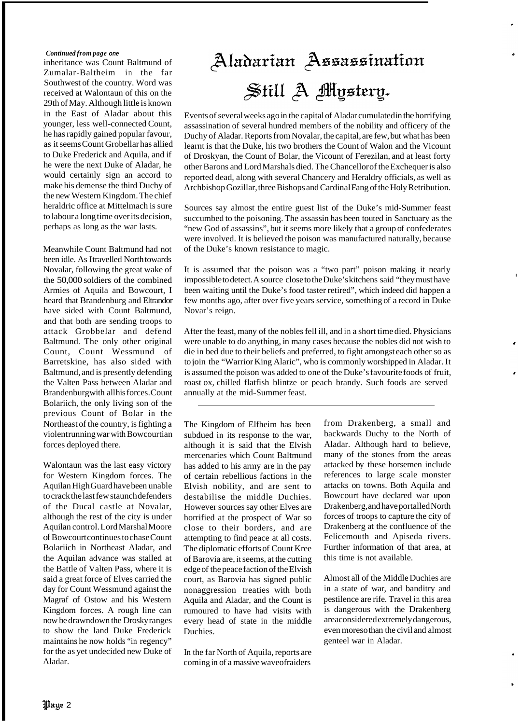#### *Continued from page one*

inheritance was Count Baltmund of Zumalar-Baltheim in the far Southwest of the country. Word was received at Walontaun of this on the 29th of May. Although little is known in the East of Aladar about this younger, less well-connected Count, he has rapidly gained popular favour, as it seems Count Grobellar has allied to Duke Frederick and Aquila, and if he were the next Duke of Aladar, he would certainly sign an accord to make his demense the third Duchy of the new Western Kingdom. The chief heraldric office at Mittelmach is sure to labour a long time over its decision, perhaps as long as the war lasts.

Meanwhile Count Baltmund had not been idle. As I travelled North towards Novalar, following the great wake of the 50,000 soldiers of the combined Armies of Aquila and Bowcourt, I heard that Brandenburg and Eltrandor have sided with Count Baltmund, and that both are sending troops to attack Grobbelar and defend Baltmund. The only other original Count, Count Wessmund of Barretskine, has also sided with Baltmund, and is presently defending the Valten Pass between Aladar and Brandenburg with all his forces. Count Bolariich, the only living son of the previous Count of Bolar in the Northeast of the country, is fighting a violent running war with Bowcourtian forces deployed there.

Walontaun was the last easy victory for Western Kingdom forces. The Aquilan High Guard have been unable to crack the last few staunch defenders of the Ducal castle at Novalar, although the rest of the city is under Aquilan control. Lord Marshal Moore of Bowcourt continues to chase Count Bolariich in Northeast Aladar, and the Aquilan advance was stalled at the Battle of Valten Pass, where it is said a great force of Elves carried the day for Count Wessmund against the Magraf of Ostow and his Western Kingdom forces. A rough line can now be drawndown the Drosky ranges to show the land Duke Frederick maintains he now holds "in regency" for the as yet undecided new Duke of Aladar.

# Aladarian Assassination Still A Mystery.

Events of several weeks ago in the capital of Aladar cumulated in the horrifying assassination of several hundred members of the nobility and officery of the Duchy of Aladar. Reports from Novalar, the capital, are few, but what has been learnt is that the Duke, his two brothers the Count of Walon and the Vicount of Droskyan, the Count of Bolar, the Vicount of Ferezilan, and at least forty other Barons and Lord Marshals died. The Chancellor of the Exchequer is also reported dead, along with several Chancery and Heraldry officials, as well as Archbishop Gozillar, three Bishops and Cardinal Fang of the Holy Retribution.

Sources say almost the entire guest list of the Duke's mid-Summer feast succumbed to the poisoning. The assassin has been touted in Sanctuary as the "new God of assassins", but it seems more likely that a group of confederates were involved. It is believed the poison was manufactured naturally, because of the Duke's known resistance to magic.

It is assumed that the poison was a "two part" poison making it nearly impossible to detect. A source close to the Duke's kitchens said "they must have been waiting until the Duke's food taster retired", which indeed did happen a few months ago, after over five years service, something of a record in Duke Novar's reign.

After the feast, many of the nobles fell ill, and in a short time died. Physicians were unable to do anything, in many cases because the nobles did not wish to die in bed due to their beliefs and preferred, to fight amongst each other so as to join the "Warrior King Alaric", who is commonly worshipped in Aladar. It is assumed the poison was added to one of the Duke's favourite foods of fruit, roast ox, chilled flatfish blintze or peach brandy. Such foods are served annually at the mid-Summer feast.

The Kingdom of Elfheim has been subdued in its response to the war, although it is said that the Elvish mercenaries which Count Baltmund has added to his army are in the pay of certain rebellious factions in the Elvish nobility, and are sent to destabilise the middle Duchies. However sources say other Elves are horrified at the prospect of War so close to their borders, and are attempting to find peace at all costs. The diplomatic efforts of Count Kree of Barovia are, it seems, at the cutting edge of the peace faction of the Elvish court, as Barovia has signed public nonaggression treaties with both Aquila and Aladar, and the Count is rumoured to have had visits with every head of state in the middle Duchies.

In the far North of Aquila, reports are coming in of a massive waveofraiders from Drakenberg, a small and backwards Duchy to the North of Aladar. Although hard to believe, many of the stones from the areas attacked by these horsemen include references to large scale monster attacks on towns. Both Aquila and Bowcourt have declared war upon Drakenberg, and have portalled North forces of troops to capture the city of Drakenberg at the confluence of the Felicemouth and Apiseda rivers. Further information of that area, at this time is not available.

I

Almost all of the Middle Duchies are in a state of war, and banditry and pestilence are rife. Travel in this area is dangerous with the Drakenberg areaconsidered extremely dangerous, even moreso than the civil and almost genteel war in Aladar.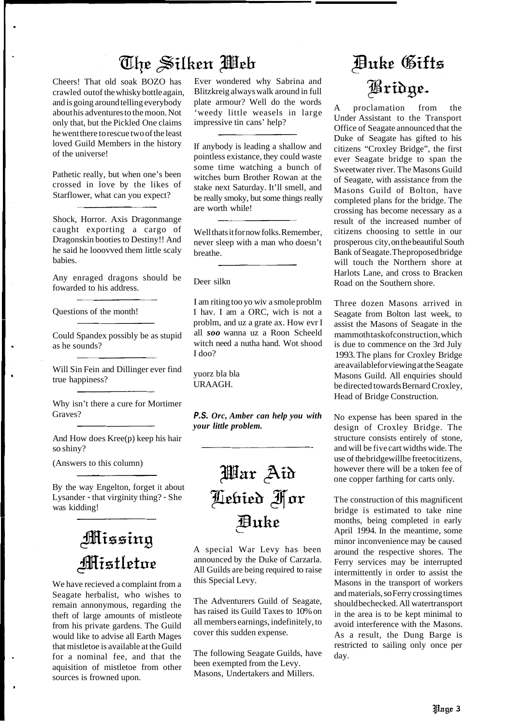### The Silken Meh

Cheers! That old soak BOZO has crawled outof the whisky bottle again, and is going around telling everybody about his adventures to the moon. Not only that, but the Pickled One claims he went there to rescue two of the least loved Guild Members in the history of the universe!

Pathetic really, but when one's been crossed in love by the likes of Starflower, what can you expect?

Shock, Horror. Axis Dragonmange caught exporting a cargo of Dragonskin booties to Destiny!! And he said he looovved them little scaly babies.

Any enraged dragons should be fowarded to his address.

Questions of the month!

Could Spandex possibly be as stupid as he sounds?

Will Sin Fein and Dillinger ever find true happiness?

Why isn't there a cure for Mortimer Graves?

And How does Kree(p) keep his hair so shiny?

(Answers to this column)

By the way Engelton, forget it about Lysander - that virginity thing? - She was kidding!

## Missing Mistletoe

We have recieved a complaint from a Seagate herbalist, who wishes to remain annonymous, regarding the theft of large amounts of mistleote from his private gardens. The Guild would like to advise all Earth Mages that mistletoe is available at the Guild for a nominal fee, and that the aquisition of mistletoe from other sources is frowned upon.

Ever wondered why Sabrina and Blitzkreig always walk around in full plate armour? Well do the words 'weedy little weasels in large impressive tin cans' help?

If anybody is leading a shallow and pointless existance, they could waste some time watching a bunch of witches burn Brother Rowan at the stake next Saturday. It'll smell, and be really smoky, but some things really are worth while!

Well thats it for now folks. Remember, never sleep with a man who doesn't breathe.

Deer silkn

I am riting too yo wiv a smole problm I hav. I am a ORC, wich is not a problm, and uz a grate ax. How evr I all *soo* wanna uz a Roon Scheeld witch need a nutha hand. Wot shood I doo?

yuorz bla bla URAAGH.

*P.S. Orc, Amber can help you with your little problem.* 



A special War Levy has been announced by the Duke of Carzarla. All Guilds are being required to raise this Special Levy.

The Adventurers Guild of Seagate, has raised its Guild Taxes to 10% on all members earnings, indefinitely, to cover this sudden expense.

The following Seagate Guilds, have been exempted from the Levy. Masons, Undertakers and Millers.

# **Auke Gifts** Bridge.

A proclamation from the Under Assistant to the Transport Office of Seagate announced that the Duke of Seagate has gifted to his citizens "Croxley Bridge", the first ever Seagate bridge to span the Sweetwater river. The Masons Guild of Seagate, with assistance from the Masons Guild of Bolton, have completed plans for the bridge. The crossing has become necessary as a result of the increased number of citizens choosing to settle in our prosperous city, on the beautiful South Bank of Seagate. The proposed bridge will touch the Northern shore at Harlots Lane, and cross to Bracken Road on the Southern shore.

Three dozen Masons arrived in Seagate from Bolton last week, to assist the Masons of Seagate in the mammoth taskofconstruction, which is due to commence on the 3rd July 1993. The plans for Croxley Bridge are available for viewing at the Seagate Masons Guild. All enquiries should be directed towards Bernard Croxley, Head of Bridge Construction.

No expense has been spared in the design of Croxley Bridge. The structure consists entirely of stone, and will be five cart widths wide. The use of the bridgewillbe freetocitizens, however there will be a token fee of one copper farthing for carts only.

The construction of this magnificent bridge is estimated to take nine months, being completed in early April 1994. In the meantime, some minor inconvenience may be caused around the respective shores. The Ferry services may be interrupted intermittently in order to assist the Masons in the transport of workers and materials, so Ferry crossing times should bechecked. All watertransport in the area is to be kept minimal to avoid interference with the Masons. As a result, the Dung Barge is restricted to sailing only once per day.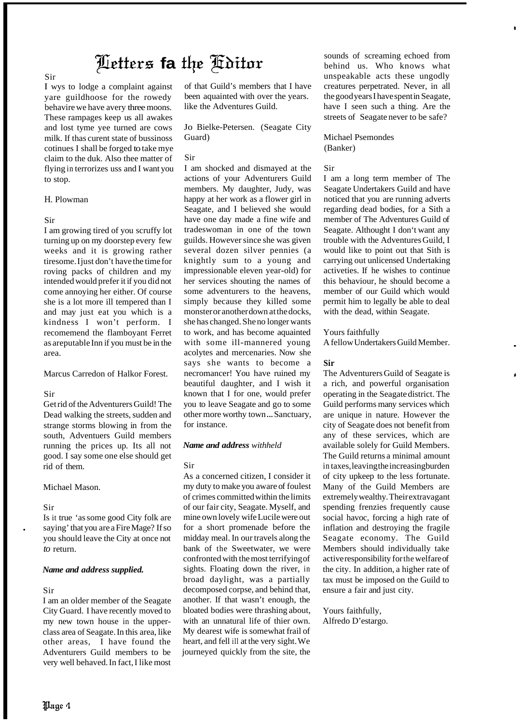### Letters fa the *Koitor*

#### Sir

I wys to lodge a complaint against yare guildhoose for the rowedy behavire we have avery three moons. These rampages keep us all awakes and lost tyme yee turned are cows milk. If thas curent state of bussinoss cotinues I shall be forged to take mye claim to the duk. Also thee matter of flying in terrorizes uss and I want you to stop.

#### H. Plowman

#### Sir

I am growing tired of you scruffy lot turning up on my doorstep every few weeks and it is growing rather tiresome. I just don't have the time for roving packs of children and my intended would prefer it if you did not come annoying her either. Of course she is a lot more ill tempered than I and may just eat you which is a kindness I won't perform. I recomemend the flamboyant Ferret as areputable Inn if you must be in the area.

Marcus Carredon of Halkor Forest.

#### Sir

Get rid of the Adventurers Guild! The Dead walking the streets, sudden and strange storms blowing in from the south, Adventuers Guild members running the prices up. Its all not good. I say some one else should get rid of them.

Michael Mason.

#### Sir

.

Is it true 'as some good City folk are saying' that you are a Fire Mage? If so you should leave the City at once not *to* return.

#### *Name and address supplied.*

#### Sir

I am an older member of the Seagate City Guard. I have recently moved to my new town house in the upperclass area of Seagate. In this area, like other areas, I have found the Adventurers Guild members to be very well behaved. In fact, I like most

of that Guild's members that I have been aquainted with over the years. like the Adventures Guild.

Jo Bielke-Petersen. (Seagate City Guard)

#### Sir

I am shocked and dismayed at the actions of your Adventurers Guild members. My daughter, Judy, was happy at her work as a flower girl in Seagate, and I believed she would have one day made a fine wife and tradeswoman in one of the town guilds. However since she was given several dozen silver pennies (a knightly sum to a young and impressionable eleven year-old) for her services shouting the names of some adventurers to the heavens, simply because they killed some monster or another down at the docks, she has changed. She no longer wants to work, and has become aquainted with some ill-mannered young acolytes and mercenaries. Now she says she wants to become a necromancer! You have ruined my beautiful daughter, and I wish it known that I for one, would prefer you to leave Seagate and go to some other more worthy town ... Sanctuary, for instance.

#### *Name and address withheld*

#### Sir

As a concerned citizen, I consider it my duty to make you aware of foulest of crimes committed within the limits of our fair city, Seagate. Myself, and mine own lovely wife Lucile were out for a short promenade before the midday meal. In our travels along the bank of the Sweetwater, we were confronted with the most terrifying of sights. Floating down the river, in broad daylight, was a partially decomposed corpse, and behind that, another. If that wasn't enough, the bloated bodies were thrashing about, with an unnatural life of thier own. My dearest wife is somewhat frail of heart, and fell ill at the very sight. We journeyed quickly from the site, the

sounds of screaming echoed from behind us. Who knows what unspeakable acts these ungodly creatures perpetrated. Never, in all the good years I have spent in Seagate, have I seen such a thing. Are the streets of Seagate never to be safe?

#### Michael Psemondes (Banker)

#### Sir

I am a long term member of The Seagate Undertakers Guild and have noticed that you are running adverts regarding dead bodies, for a Sith a member of The Adventures Guild of Seagate. Althought I don't want any trouble with the Adventures Guild, I would like to point out that Sith is carrying out unlicensed Undertaking activeties. If he wishes to continue this behaviour, he should become a member of our Guild which would permit him to legally be able to deal with the dead, within Seagate.

#### Yours faithfully

A fellow Undertakers Guild Member.

#### **Sir**

The Adventurers Guild of Seagate is a rich, and powerful organisation operating in the Seagate district. The Guild performs many services which are unique in nature. However the city of Seagate does not benefit from any of these services, which are available solely for Guild Members. The Guild returns a minimal amount in taxes, leaving the increasing burden of city upkeep to the less fortunate. Many of the Guild Members are extremely wealthy. Their extravagant spending frenzies frequently cause social havoc, forcing a high rate of inflation and destroying the fragile Seagate economy. The Guild Members should individually take active responsibility for the welfare of the city. In addition, a higher rate of tax must be imposed on the Guild to ensure a fair and just city.

Yours faithfully, Alfredo D'estargo.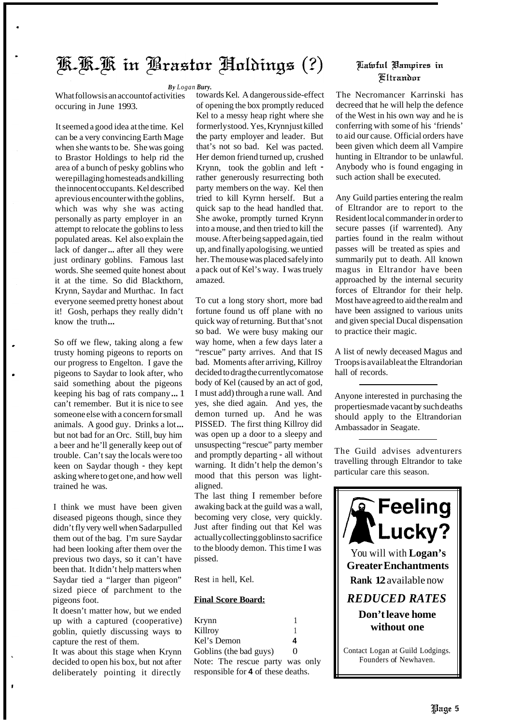### K.K.K in Brastor Holdings (?)

*By Logan Bury.* 

What follows is an account of activities occuring in June 1993.

It seemed a good idea at the time. Kel can be a very convincing Earth Mage when she wants to be. She was going to Brastor Holdings to help rid the area of a bunch of pesky goblins who were pillaging homesteads and killing the innocent occupants. Kel described aprevious encounter with the goblins, which was why she was acting personally as party employer in an attempt to relocate the goblins to less populated areas. Kel also explain the lack of danger... after all they were just ordinary goblins. Famous last words. She seemed quite honest about it at the time. So did Blackthorn, Krynn, Saydar and Murthac. In fact everyone seemed pretty honest about it! Gosh, perhaps they really didn't know the truth...

So off we flew, taking along a few trusty homing pigeons to reports on our progress to Engelton. I gave the pigeons to Saydar to look after, who said something about the pigeons keeping his bag of rats company ... 1 can't remember. But it is nice to see someone else with a concern for small animals. A good guy. Drinks a lot... but not bad for an Orc. Still, buy him a beer and he'll generally keep out of trouble. Can't say the locals were too keen on Saydar though - they kept asking where to get one, and how well trained he was.

I think we must have been given diseased pigeons though, since they didn't fly very well when Sadarpulled them out of the bag. I'm sure Saydar had been looking after them over the previous two days, so it can't have been that. It didn't help matters when Saydar tied a "larger than pigeon" sized piece of parchment to the pigeons foot.

It doesn't matter how, but we ended up with a captured (cooperative) goblin, quietly discussing ways to capture the rest of them.

It was about this stage when Krynn decided to open his box, but not after deliberately pointing it directly

towards Kel. A dangerous side-effect of opening the box promptly reduced Kel to a messy heap right where she formerly stood. Yes, Krynnjust killed the party employer and leader. But that's not so bad. Kel was pacted. Her demon friend turned up, crushed Krynn, took the goblin and left rather generously resurrecting both party members on the way. Kel then tried to kill Kyrnn herself. But a quick sap to the head handled that. She awoke, promptly turned Krynn into a mouse, and then tried to kill the mouse. After being sapped again, tied up, and finally apologising. we untied her. The mouse was placed safely into a pack out of Kel's way. I was truely amazed.

To cut a long story short, more bad fortune found us off plane with no quick way of returning. But that's not so bad. We were busy making our way home, when a few days later a "rescue" party arrives. And that IS bad. Moments after arriving, Killroy decided to drag the currently comatose body of Kel (caused by an act of god, I must add) through a rune wall. And yes, she died again. And yes, the demon turned up. And he was PISSED. The first thing Killroy did was open up a door to a sleepy and unsuspecting "rescue" party member and promptly departing - all without warning. It didn't help the demon's mood that this person was lightaligned.

The last thing I remember before awaking back at the guild was a wall, becoming very close, very quickly. Just after finding out that Kel was actually collecting goblins to sacrifice to the bloody demon. This time I was pissed.

Rest in hell, Kel.

#### **Final Score Board:**

| Krynn                              |          |  |  |
|------------------------------------|----------|--|--|
| Killroy                            |          |  |  |
| Kel's Demon                        | 4        |  |  |
| Goblins (the bad guys)             | $\Omega$ |  |  |
| Note: The rescue party was only    |          |  |  |
| responsible for 4 of these deaths. |          |  |  |

### Aafoful Bampires in **Fltrandor**

The Necromancer Karrinski has decreed that he will help the defence of the West in his own way and he is conferring with some of his 'friends' to aid our cause. Official orders have been given which deem all Vampire hunting in Eltrandor to be unlawful. Anybody who is found engaging in such action shall be executed.

Any Guild parties entering the realm of Eltrandor are to report to the Resident local commander in order to secure passes (if warrented). Any parties found in the realm without passes will be treated as spies and summarily put to death. All known magus in Eltrandor have been approached by the internal security forces of Eltrandor for their help. Most have agreed to aid the realm and have been assigned to various units and given special Ducal dispensation to practice their magic.

A list of newly deceased Magus and Troops is availableat the Eltrandorian hall of records.

Anyone interested in purchasing the properties made vacant by such deaths should apply to the Eltrandorian Ambassador in Seagate.

The Guild advises adventurers travelling through Eltrandor to take particular care this season.

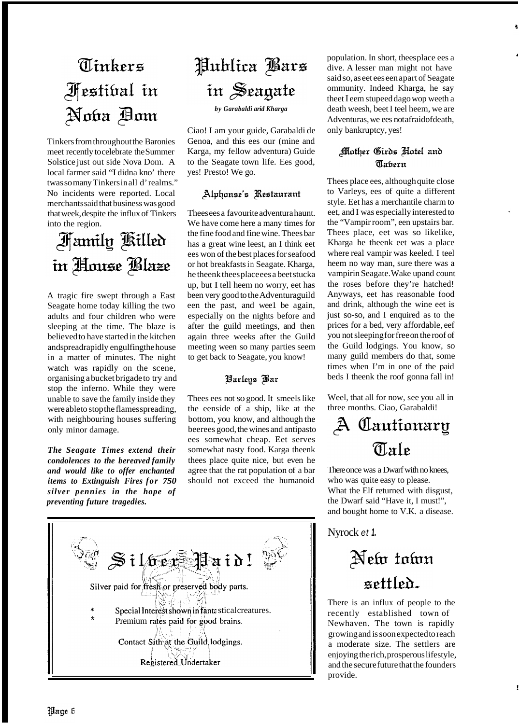# Tinkers *Festibal in* Noba Bom

Tinkers from throughout the Baronies meet recently to celebrate the Summer Solstice just out side Nova Dom. A local farmer said "I didna kno' there twas so many Tinkers in all d'realms.' No incidents were reported. Local merchants said that business was good that week, despite the influx of Tinkers into the region.

## **Family Killed** in House Blaze

A tragic fire swept through a East Seagate home today killing the two adults and four children who were sleeping at the time. The blaze is believed to have started in the kitchen andspreadrapidly engulfing the house in a matter of minutes. The night watch was rapidly on the scene, organising a bucket brigade to try and stop the inferno. While they were unable to save the family inside they were able to stop the flames spreading, with neighbouring houses suffering only minor damage.

*The Seagate Times extend their condolences to the bereaved family and would like to offer enchanted items to Extinguish Fires for 750 silver pennies in the hope of preventing future tragedies.* 

# Publica Bars in Seagate

*by Garabaldi arid Kharga* 

Ciao! I am your guide, Garabaldi de Genoa, and this ees our (mine and Karga, my fellow adventura) Guide to the Seagate town life. Ees good, yes! Presto! We go.

### Alphonse's Restaurant

Thees ees a favourite adventura haunt. We have come here a many times for the fine food and fine wine. Thees bar has a great wine leest, an I think eet ees won of the best places for seafood or hot breakfasts in Seagate. Kharga, he theenk thees place ees a beet stucka up, but I tell heem no worry, eet has been very good to the Adventuraguild een the past, and wee1 be again, especially on the nights before and after the guild meetings, and then again three weeks after the Guild meeting ween so many parties seem to get back to Seagate, you know!

### **Barleys** Bar

Thees ees not so good. It smeels like the eenside of a ship, like at the bottom, you know, and although the beerees good, the wines and antipasto ees somewhat cheap. Eet serves somewhat nasty food. Karga theenk thees place quite nice, but even he agree that the rat population of a bar should not exceed the humanoid



population. In short, thees place ees a dive. A lesser man might not have said so, as eet ees een apart of Seagate ommunity. Indeed Kharga, he say theet I eem stupeed dago wop weeth a death weesh, beet I teel heem, we are Adventuras, we ees not a fraidofdeath, only bankruptcy, yes!

### **Mother Girds Hotel and Tabern**

Thees place ees, although quite close to Varleys, ees of quite a different style. Eet has a merchantile charm to eet, and I was especially interested to the "Vampir room", een upstairs bar. Thees place, eet was so likelike, Kharga he theenk eet was a place where real vampir was keeled. I teel heem no way man, sure there was a vampirin Seagate. Wake up and count the roses before they're hatched! Anyways, eet has reasonable food and drink, although the wine eet is just so-so, and I enquired as to the prices for a bed, very affordable, eef you not sleeping for free on the roof of the Guild lodgings. You know, so many guild members do that, some times when I'm in one of the paid beds I theenk the roof gonna fall in!

Weel, that all for now, see you all in three months. Ciao, Garabaldi!

## A Cautionary Tale

There once was a Dwarf with no knees, who was quite easy to please. What the Elf returned with disgust, the Dwarf said "Have it, I must!", and bought home to V.K. a disease.

Nyrock *et 1.* 

# New town settled.

There is an influx of people to the recently established town of Newhaven. The town is rapidly growing and is soon expected to reach a moderate size. The settlers are enjoying the rich, prosperous lifestyle, and the secure future that the founders provide.

!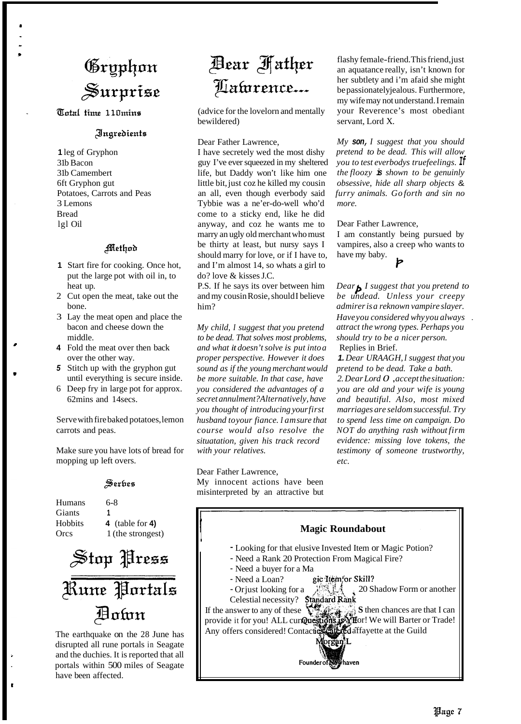# Gryphon Surprise

Total time 110mins

#### Ingredients

**1** leg of Gryphon 31b Bacon 31b Camembert 6ft Gryphon gut Potatoes, Carrots and Peas 3 Lemons Bread lgl Oil

#### Method

- **1** Start fire for cooking. Once hot, put the large pot with oil in, to heat up.
- 2 Cut open the meat, take out the bone.
- 3 Lay the meat open and place the bacon and cheese down the middle.
- **4** Fold the meat over then back over the other way.
- *5* Stitch up with the gryphon gut until everything is secure inside.
- 6 Deep fry in large pot for approx. 62mins and 14secs.

Serve with fire baked potatoes, lemon carrots and peas.

Make sure you have lots of bread for mopping up left overs.

#### Serbes

Humans 6-8 Giants **<sup>1</sup>** Hobbits **4** (table for **4)**  Orcs 1 (the strongest)



The earthquake on the 28 June has disrupted all rune portals in Seagate and the duchies. It is reported that all portals within 500 miles of Seagate have been affected.

## Bear **Hather** Laturence...

(advice for the lovelorn and mentally bewildered)

Dear Father Lawrence,

I have secretely wed the most dishy guy I've eversqueezed in my sheltered life, but Daddy won't like him one little bit, just coz he killed my cousin an all, even though everbody said Tybbie was a ne'er-do-well who'd come to a sticky end, like he did anyway, and coz he wants me to marry an ugly old merchant who must be thirty at least, but nursy says I should marry for love, or if I have to, and I'm almost 14, so whats a girl to do? love & kisses J.C.

P.S. If he says its over between him and my cousin Rosie, should I believe him?

*My child, I suggest that you pretend to be dead. That solves most problems, and what it doesn't solve is put into a proper perspective. However it does sound as if the young merchant would be more suitable. In that case, have you considered the advantages of a secret annulment? Alternatively, have you thought of introducing your first husband to your fiance. I am sure that course would also resolve the situatation, given his track record with your relatives.* 

Dear Father Lawrence,

My innocent actions have been misinterpreted by an attractive but flashy female-friend. This friend, just an aquatance really, isn't known for her subtlety and i'm afaid she might be passionately jealous. Furthermore, my wife may not understand. I remain your Reverence's most obediant servant, Lord X.

*My son, I suggest that you should pretend to be dead. This will allow you to test everbodys true feelings. If the floozy is shown to be genuinly obsessive, hide all sharp objects* & *furry animals. Go forth and sin no more.* 

Dear Father Lawrence,

I am constantly being pursued by vampires, also a creep who wants to have my baby.

*Dear I suggest that you pretend to be undead. Unless your creepy admirer is a reknown vampire slayer. Have you considered why you always* . *attract the wrong types. Perhaps you should try to be a nicer person.*  Replies in Brief.

*1. Dear URAAGH, I suggest that you pretend to be dead. Take a bath. 2. Dear Lord 0* , *accept the situation: you are old and your wife is young and beautiful. Also, most mixed marriages are seldom successful. Try to spend less time on campaign. Do NOT do anything rash without firm evidence: missing love tokens, the testimony of someone trustworthy, etc.*